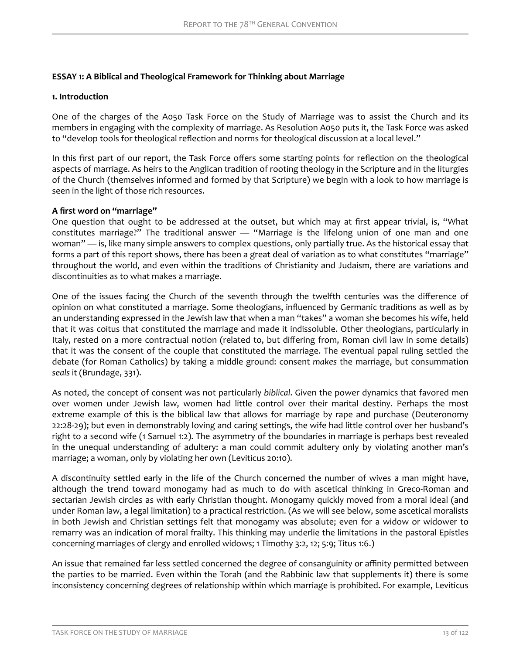## **ESSAY 1: A Biblical and Theological Framework for Thinking about Marriage**

#### **1. Introduction**

One of the charges of the A050 Task Force on the Study of Marriage was to assist the Church and its members in engaging with the complexity of marriage. As Resolution A050 puts it, the Task Force was asked to "develop tools for theological reflection and norms for theological discussion at a local level."

In this first part of our report, the Task Force offers some starting points for reflection on the theological aspects of marriage. As heirs to the Anglican tradition of rooting theology in the Scripture and in the liturgies of the Church (themselves informed and formed by that Scripture) we begin with a look to how marriage is seen in the light of those rich resources.

### **A Ƥrst word on "marriage"**

One question that ought to be addressed at the outset, but which may at first appear trivial, is, "What constitutes marriage?" The traditional answer — "Marriage is the lifelong union of one man and one woman" — is, like many simple answers to complex questions, only partially true. As the historical essay that forms a part of this report shows, there has been a great deal of variation as to what constitutes "marriage" throughout the world, and even within the traditions of Christianity and Judaism, there are variations and discontinuities as to what makes a marriage.

One of the issues facing the Church of the seventh through the twelfth centuries was the difference of opinion on what constituted a marriage. Some theologians, influenced by Germanic traditions as well as by an understanding expressed in the Jewish law that when a man "takes" a woman she becomes his wife, held that it was coitus that constituted the marriage and made it indissoluble. Other theologians, particularly in Italy, rested on a more contractual notion (related to, but differing from, Roman civil law in some details) that it was the consent of the couple that constituted the marriage. The eventual papal ruling settled the debate (for Roman Catholics) by taking a middle ground: consent *makes* the marriage, but consummation *seals* it (Brundage, 331).

As noted, the concept of consent was not particularly *biblical*. Given the power dynamics that favored men over women under Jewish law, women had little control over their marital destiny. Perhaps the most extreme example of this is the biblical law that allows for marriage by rape and purchase (Deuteronomy 22:28-29); but even in demonstrably loving and caring settings, the wife had little control over her husband's right to a second wife (1 Samuel 1:2). The asymmetry of the boundaries in marriage is perhaps best revealed in the unequal understanding of adultery: a man could commit adultery only by violating another man's marriage; a woman, only by violating her own (Leviticus 20:10).

A discontinuity settled early in the life of the Church concerned the number of wives a man might have, although the trend toward monogamy had as much to do with ascetical thinking in Greco-Roman and sectarian Jewish circles as with early Christian thought. Monogamy quickly moved from a moral ideal (and under Roman law, a legal limitation) to a practical restriction. (As we will see below, some ascetical moralists in both Jewish and Christian settings felt that monogamy was absolute; even for a widow or widower to remarry was an indication of moral frailty. This thinking may underlie the limitations in the pastoral Epistles concerning marriages of clergy and enrolled widows; 1 Timothy 3:2, 12; 5:9; Titus 1:6.)

An issue that remained far less settled concerned the degree of consanguinity or affinity permitted between the parties to be married. Even within the Torah (and the Rabbinic law that supplements it) there is some inconsistency concerning degrees of relationship within which marriage is prohibited. For example, Leviticus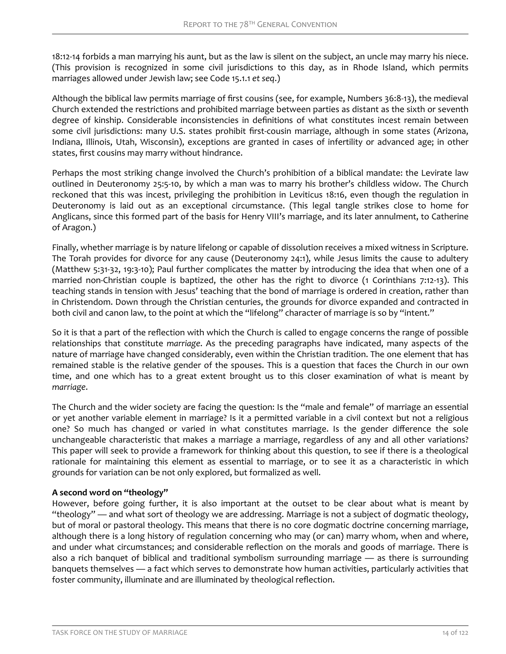18:12-14 forbids a man marrying his aunt, but as the law is silent on the subject, an uncle may marry his niece. (This provision is recognized in some civil jurisdictions to this day, as in Rhode Island, which permits marriages allowed under Jewish law; see Code 15.1.1 *et seq*.)

Although the biblical law permits marriage of first cousins (see, for example, Numbers 36:8-13), the medieval Church extended the restrictions and prohibited marriage between parties as distant as the sixth or seventh degree of kinship. Considerable inconsistencies in definitions of what constitutes incest remain between some civil jurisdictions: many U.S. states prohibit first-cousin marriage, although in some states (Arizona, Indiana, Illinois, Utah, Wisconsin), exceptions are granted in cases of infertility or advanced age; in other states, first cousins may marry without hindrance.

Perhaps the most striking change involved the Church's prohibition of a biblical mandate: the Levirate law outlined in Deuteronomy 25:5-10, by which a man was to marry his brother's childless widow. The Church reckoned that this was incest, privileging the prohibition in Leviticus 18:16, even though the regulation in Deuteronomy is laid out as an exceptional circumstance. (This legal tangle strikes close to home for Anglicans, since this formed part of the basis for Henry VIII's marriage, and its later annulment, to Catherine of Aragon.)

Finally, whether marriage is by nature lifelong or capable of dissolution receives a mixed witness in Scripture. The Torah provides for divorce for any cause (Deuteronomy 24:1), while Jesus limits the cause to adultery (Matthew 5:31-32, 19:3-10); Paul further complicates the matter by introducing the idea that when one of a married non-Christian couple is baptized, the other has the right to divorce (1 Corinthians 7:12-13). This teaching stands in tension with Jesus' teaching that the bond of marriage is ordered in creation, rather than in Christendom. Down through the Christian centuries, the grounds for divorce expanded and contracted in both civil and canon law, to the point at which the "lifelong" character of marriage is so by "intent."

So it is that a part of the reflection with which the Church is called to engage concerns the range of possible relationships that constitute *marriage*. As the preceding paragraphs have indicated, many aspects of the nature of marriage have changed considerably, even within the Christian tradition. The one element that has remained stable is the relative gender of the spouses. This is a question that faces the Church in our own time, and one which has to a great extent brought us to this closer examination of what is meant by *marriage*.

The Church and the wider society are facing the question: Is the "male and female" of marriage an essential or yet another variable element in marriage? Is it a permitted variable in a civil context but not a religious one? So much has changed or varied in what constitutes marriage. Is the gender difference the sole unchangeable characteristic that makes a marriage a marriage, regardless of any and all other variations? This paper will seek to provide a framework for thinking about this question, to see if there is a theological rationale for maintaining this element as essential to marriage, or to see it as a characteristic in which grounds for variation can be not only explored, but formalized as well.

# **A second word on "theology"**

However, before going further, it is also important at the outset to be clear about what is meant by "theology" — and what sort of theology we are addressing. Marriage is not a subject of dogmatic theology, but of moral or pastoral theology. This means that there is no core dogmatic doctrine concerning marriage, although there is a long history of regulation concerning who may (or can) marry whom, when and where, and under what circumstances; and considerable reflection on the morals and goods of marriage. There is also a rich banquet of biblical and traditional symbolism surrounding marriage — as there is surrounding banquets themselves — a fact which serves to demonstrate how human activities, particularly activities that foster community, illuminate and are illuminated by theological reflection.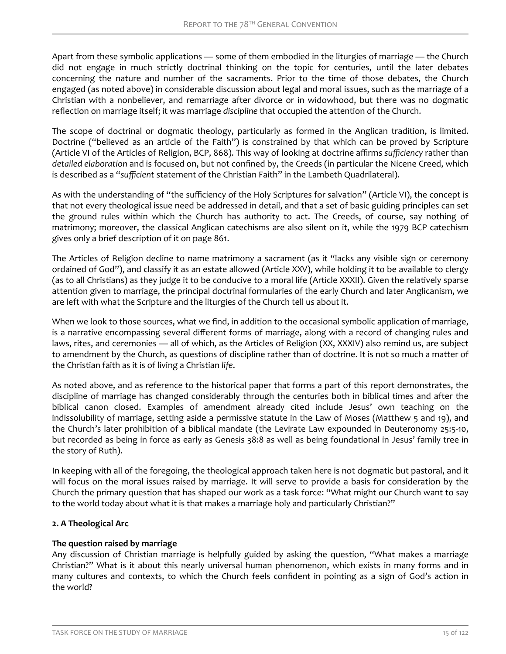Apart from these symbolic applications — some of them embodied in the liturgies of marriage — the Church did not engage in much strictly doctrinal thinking on the topic for centuries, until the later debates concerning the nature and number of the sacraments. Prior to the time of those debates, the Church engaged (as noted above) in considerable discussion about legal and moral issues, such as the marriage of a Christian with a nonbeliever, and remarriage after divorce or in widowhood, but there was no dogmatic reflection on marriage itself; it was marriage *discipline* that occupied the attention of the Church.

The scope of doctrinal or dogmatic theology, particularly as formed in the Anglican tradition, is limited. Doctrine ("believed as an article of the Faith") is constrained by that which can be proved by Scripture (Article VI of the Articles of Religion, BCP, 868). This way of looking at doctrine affirms *sufficiency* rather than *detailed elaboration* and is focused on, but not confined by, the Creeds (in particular the Nicene Creed, which is described as a "*sufficient* statement of the Christian Faith" in the Lambeth Quadrilateral).

As with the understanding of "the sufficiency of the Holy Scriptures for salvation" (Article VI), the concept is that not every theological issue need be addressed in detail, and that a set of basic guiding principles can set the ground rules within which the Church has authority to act. The Creeds, of course, say nothing of matrimony; moreover, the classical Anglican catechisms are also silent on it, while the 1979 BCP catechism gives only a brief description of it on page 861.

The Articles of Religion decline to name matrimony a sacrament (as it "lacks any visible sign or ceremony ordained of God"), and classify it as an estate allowed (Article XXV), while holding it to be available to clergy (as to all Christians) as they judge it to be conducive to a moral life (Article XXXII). Given the relatively sparse attention given to marriage, the principal doctrinal formularies of the early Church and later Anglicanism, we are left with what the Scripture and the liturgies of the Church tell us about it.

When we look to those sources, what we find, in addition to the occasional symbolic application of marriage, is a narrative encompassing several different forms of marriage, along with a record of changing rules and laws, rites, and ceremonies — all of which, as the Articles of Religion (XX, XXXIV) also remind us, are subject to amendment by the Church, as questions of discipline rather than of doctrine. It is not so much a matter of the Christian faith as it is of living a Christian *life*.

As noted above, and as reference to the historical paper that forms a part of this report demonstrates, the discipline of marriage has changed considerably through the centuries both in biblical times and after the biblical canon closed. Examples of amendment already cited include Jesus' own teaching on the indissolubility of marriage, setting aside a permissive statute in the Law of Moses (Matthew 5 and 19), and the Church's later prohibition of a biblical mandate (the Levirate Law expounded in Deuteronomy 25:5-10, but recorded as being in force as early as Genesis 38:8 as well as being foundational in Jesus' family tree in the story of Ruth).

In keeping with all of the foregoing, the theological approach taken here is not dogmatic but pastoral, and it will focus on the moral issues raised by marriage. It will serve to provide a basis for consideration by the Church the primary question that has shaped our work as a task force: "What might our Church want to say to the world today about what it is that makes a marriage holy and particularly Christian?"

### **2. A Theological Arc**

### **The question raised by marriage**

Any discussion of Christian marriage is helpfully guided by asking the question, "What makes a marriage Christian?" What is it about this nearly universal human phenomenon, which exists in many forms and in many cultures and contexts, to which the Church feels confident in pointing as a sign of God's action in the world?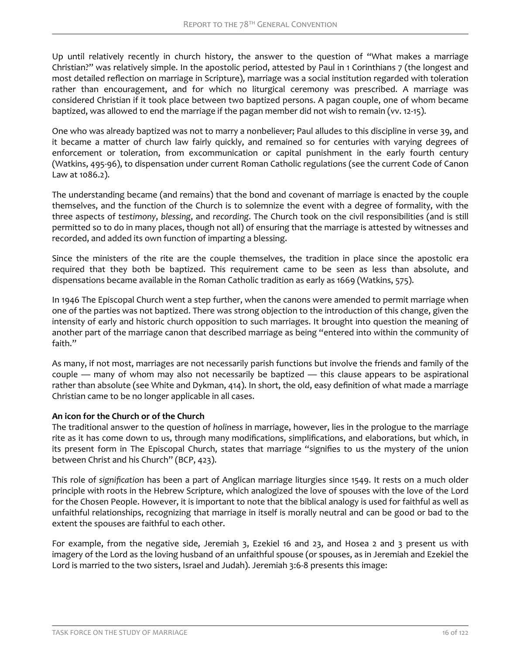Up until relatively recently in church history, the answer to the question of "What makes a marriage Christian?" was relatively simple. In the apostolic period, attested by Paul in 1 Corinthians 7 (the longest and most detailed reflection on marriage in Scripture), marriage was a social institution regarded with toleration rather than encouragement, and for which no liturgical ceremony was prescribed. A marriage was considered Christian if it took place between two baptized persons. A pagan couple, one of whom became baptized, was allowed to end the marriage if the pagan member did not wish to remain (vv. 12-15).

One who was already baptized was not to marry a nonbeliever; Paul alludes to this discipline in verse 39, and it became a matter of church law fairly quickly, and remained so for centuries with varying degrees of enforcement or toleration, from excommunication or capital punishment in the early fourth century (Watkins, 495-96), to dispensation under current Roman Catholic regulations (see the current Code of Canon Law at 1086.2).

The understanding became (and remains) that the bond and covenant of marriage is enacted by the couple themselves, and the function of the Church is to solemnize the event with a degree of formality, with the three aspects of *testimony*, *blessing*, and *recording*. The Church took on the civil responsibilities (and is still permitted so to do in many places, though not all) of ensuring that the marriage is attested by witnesses and recorded, and added its own function of imparting a blessing.

Since the ministers of the rite are the couple themselves, the tradition in place since the apostolic era required that they both be baptized. This requirement came to be seen as less than absolute, and dispensations became available in the Roman Catholic tradition as early as 1669 (Watkins, 575).

In 1946 The Episcopal Church went a step further, when the canons were amended to permit marriage when one of the parties was not baptized. There was strong objection to the introduction of this change, given the intensity of early and historic church opposition to such marriages. It brought into question the meaning of another part of the marriage canon that described marriage as being "entered into within the community of faith."

As many, if not most, marriages are not necessarily parish functions but involve the friends and family of the couple — many of whom may also not necessarily be baptized — this clause appears to be aspirational rather than absolute (see White and Dykman, 414). In short, the old, easy definition of what made a marriage Christian came to be no longer applicable in all cases.

### **An icon for the Church or of the Church**

The traditional answer to the question of *holiness* in marriage, however, lies in the prologue to the marriage rite as it has come down to us, through many modifications, simplifications, and elaborations, but which, in its present form in The Episcopal Church, states that marriage "signifies to us the mystery of the union between Christ and his Church" (BCP, 423).

This role of *significtion* has been a part of Anglican marriage liturgies since 1549. It rests on a much older principle with roots in the Hebrew Scripture, which analogized the love of spouses with the love of the Lord for the Chosen People. However, it is important to note that the biblical analogy is used for faithful as well as unfaithful relationships, recognizing that marriage in itself is morally neutral and can be good or bad to the extent the spouses are faithful to each other.

For example, from the negative side, Jeremiah 3, Ezekiel 16 and 23, and Hosea 2 and 3 present us with imagery of the Lord as the loving husband of an unfaithful spouse (or spouses, as in Jeremiah and Ezekiel the Lord is married to the two sisters, Israel and Judah). Jeremiah 3:6-8 presents this image: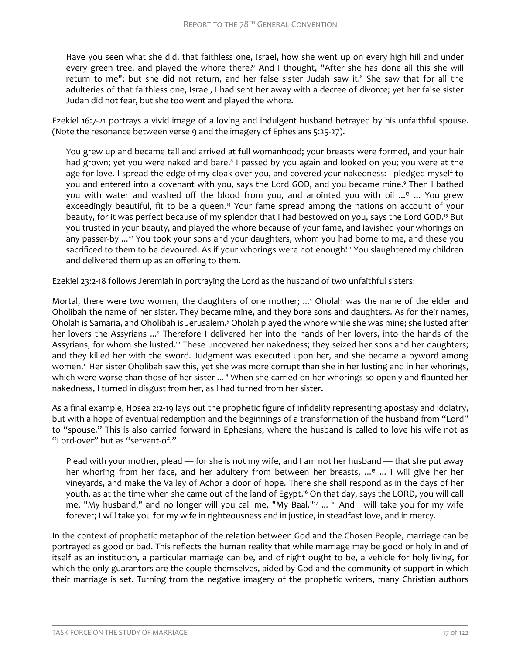Have you seen what she did, that faithless one, Israel, how she went up on every high hill and under every green tree, and played the whore there?<sup>7</sup> And I thought, "After she has done all this she will return to me"; but she did not return, and her false sister Judah saw it.<sup>8</sup> She saw that for all the adulteries of that faithless one, Israel, I had sent her away with a decree of divorce; yet her false sister Judah did not fear, but she too went and played the whore.

Ezekiel 16:7-21 portrays a vivid image of a loving and indulgent husband betrayed by his unfaithful spouse. (Note the resonance between verse 9 and the imagery of Ephesians 5:25-27).

You grew up and became tall and arrived at full womanhood; your breasts were formed, and your hair had grown; yet you were naked and bare.<sup>8</sup> I passed by you again and looked on you; you were at the age for love. I spread the edge of my cloak over you, and covered your nakedness: I pledged myself to you and entered into a covenant with you, says the Lord GOD, and you became mine.<sup>9</sup> Then I bathed you with water and washed off the blood from you, and anointed you with oil ...<sup>13</sup> ... You grew exceedingly beautiful, fit to be a queen.<sup>14</sup> Your fame spread among the nations on account of your beauty, for it was perfect because of my splendor that I had bestowed on you, says the Lord GOD.<sup>15</sup> But you trusted in your beauty, and played the whore because of your fame, and lavished your whorings on any passer-by ...<sup>20</sup> You took your sons and your daughters, whom you had borne to me, and these you sacrificed to them to be devoured. As if your whorings were not enough!<sup>21</sup> You slaughtered my children and delivered them up as an offering to them.

Ezekiel 23:2-18 follows Jeremiah in portraying the Lord as the husband of two unfaithful sisters:

Mortal, there were two women, the daughters of one mother; ...<sup>4</sup> Oholah was the name of the elder and Oholibah the name of her sister. They became mine, and they bore sons and daughters. As for their names, Oholah is Samaria, and Oholibah is Jerusalem.<sup>5</sup> Oholah played the whore while she was mine; she lusted after her lovers the Assyrians ...<sup>9</sup> Therefore I delivered her into the hands of her lovers, into the hands of the Assyrians, for whom she lusted.<sup>10</sup> These uncovered her nakedness; they seized her sons and her daughters; and they killed her with the sword. Judgment was executed upon her, and she became a byword among women.<sup>11</sup> Her sister Oholibah saw this, yet she was more corrupt than she in her lusting and in her whorings, which were worse than those of her sister ...<sup>18</sup> When she carried on her whorings so openly and flaunted her nakedness, I turned in disgust from her, as I had turned from her sister.

As a final example, Hosea 2:2-19 lays out the prophetic figure of infidelity representing apostasy and idolatry, but with a hope of eventual redemption and the beginnings of a transformation of the husband from "Lord" to "spouse." This is also carried forward in Ephesians, where the husband is called to love his wife not as "Lord-over" but as "servant-of."

Plead with your mother, plead — for she is not my wife, and I am not her husband — that she put away her whoring from her face, and her adultery from between her breasts, ...<sup>15</sup> ... I will give her her vineyards, and make the Valley of Achor a door of hope. There she shall respond as in the days of her youth, as at the time when she came out of the land of Egypt.16 On that day, says the LORD, you will call me, "My husband," and no longer will you call me, "My Baal."<sup>17</sup> ... <sup>19</sup> And I will take you for my wife forever; I will take you for my wife in righteousness and in justice, in steadfast love, and in mercy.

In the context of prophetic metaphor of the relation between God and the Chosen People, marriage can be portrayed as good or bad. This reflects the human reality that while marriage may be good or holy in and of itself as an institution, a particular marriage can be, and of right ought to be, a vehicle for holy living, for which the only guarantors are the couple themselves, aided by God and the community of support in which their marriage is set. Turning from the negative imagery of the prophetic writers, many Christian authors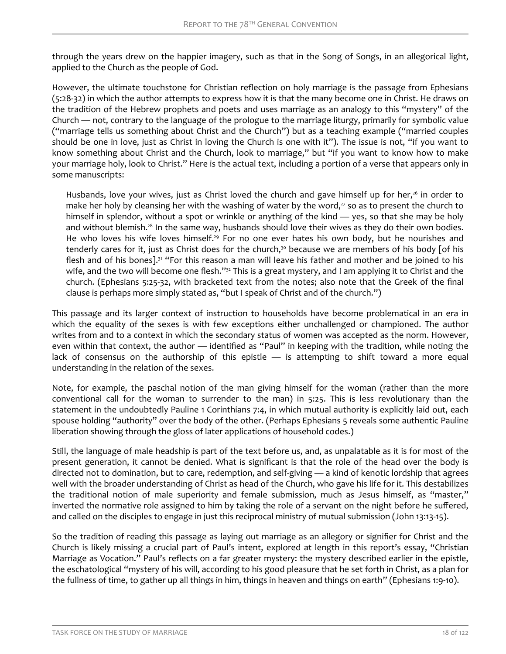through the years drew on the happier imagery, such as that in the Song of Songs, in an allegorical light, applied to the Church as the people of God.

However, the ultimate touchstone for Christian reflection on holy marriage is the passage from Ephesians (5:28-32) in which the author attempts to express how it is that the many become one in Christ. He draws on the tradition of the Hebrew prophets and poets and uses marriage as an analogy to this "mystery" of the Church — not, contrary to the language of the prologue to the marriage liturgy, primarily for symbolic value ("marriage tells us something about Christ and the Church") but as a teaching example ("married couples should be one in love, just as Christ in loving the Church is one with it"). The issue is not, "if you want to know something about Christ and the Church, look to marriage," but "if you want to know how to make your marriage holy, look to Christ." Here is the actual text, including a portion of a verse that appears only in some manuscripts:

Husbands, love your wives, just as Christ loved the church and gave himself up for her,<sup>26</sup> in order to make her holy by cleansing her with the washing of water by the word, $27$  so as to present the church to himself in splendor, without a spot or wrinkle or anything of the kind — yes, so that she may be holy and without blemish.<sup>28</sup> In the same way, husbands should love their wives as they do their own bodies. He who loves his wife loves himself.<sup>29</sup> For no one ever hates his own body, but he nourishes and tenderly cares for it, just as Christ does for the church, $30$  because we are members of his body [of his flesh and of his bones].<sup>31</sup> "For this reason a man will leave his father and mother and be joined to his wife, and the two will become one flesh." $32$  This is a great mystery, and I am applying it to Christ and the church. (Ephesians 5:25-32, with bracketed text from the notes; also note that the Greek of the final clause is perhaps more simply stated as, "but I speak of Christ and of the church.")

This passage and its larger context of instruction to households have become problematical in an era in which the equality of the sexes is with few exceptions either unchallenged or championed. The author writes from and to a context in which the secondary status of women was accepted as the norm. However, even within that context, the author - identified as "Paul" in keeping with the tradition, while noting the lack of consensus on the authorship of this epistle - is attempting to shift toward a more equal understanding in the relation of the sexes.

Note, for example, the paschal notion of the man giving himself for the woman (rather than the more conventional call for the woman to surrender to the man) in 5:25. This is less revolutionary than the statement in the undoubtedly Pauline 1 Corinthians 7:4, in which mutual authority is explicitly laid out, each spouse holding "authority" over the body of the other. (Perhaps Ephesians 5 reveals some authentic Pauline liberation showing through the gloss of later applications of household codes.)

Still, the language of male headship is part of the text before us, and, as unpalatable as it is for most of the present generation, it cannot be denied. What is significant is that the role of the head over the body is directed not to domination, but to care, redemption, and self-giving — a kind of kenotic lordship that agrees well with the broader understanding of Christ as head of the Church, who gave his life for it. This destabilizes the traditional notion of male superiority and female submission, much as Jesus himself, as "master," inverted the normative role assigned to him by taking the role of a servant on the night before he suffered, and called on the disciples to engage in just this reciprocal ministry of mutual submission (John 13:13-15).

So the tradition of reading this passage as laying out marriage as an allegory or signifier for Christ and the Church is likely missing a crucial part of Paul's intent, explored at length in this report's essay, "Christian Marriage as Vocation." Paul's reflects on a far greater mystery: the mystery described earlier in the epistle, the eschatological "mystery of his will, according to his good pleasure that he set forth in Christ, as a plan for the fullness of time, to gather up all things in him, things in heaven and things on earth" (Ephesians 1:9-10).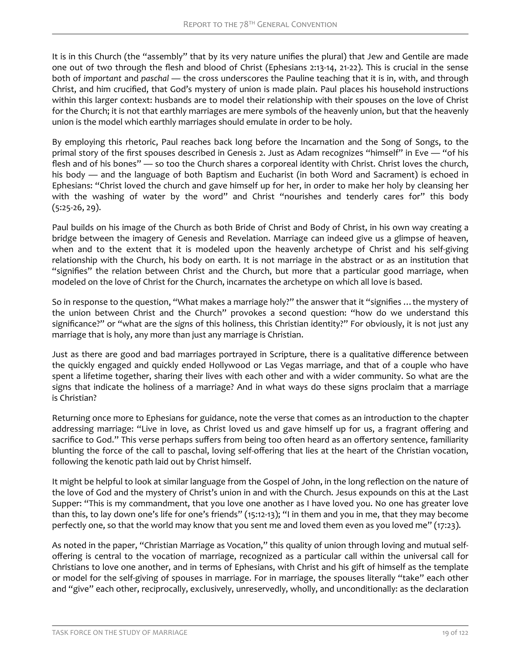It is in this Church (the "assembly" that by its very nature unifies the plural) that Jew and Gentile are made one out of two through the flesh and blood of Christ (Ephesians 2:13-14, 21-22). This is crucial in the sense both of *important* and *paschal* — the cross underscores the Pauline teaching that it is in, with, and through Christ, and him crucified, that God's mystery of union is made plain. Paul places his household instructions within this larger context: husbands are to model their relationship with their spouses on the love of Christ for the Church; it is not that earthly marriages are mere symbols of the heavenly union, but that the heavenly union is the model which earthly marriages should emulate in order to be holy.

By employing this rhetoric, Paul reaches back long before the Incarnation and the Song of Songs, to the primal story of the first spouses described in Genesis 2. Just as Adam recognizes "himself" in Eve — "of his flesh and of his bones" — so too the Church shares a corporeal identity with Christ. Christ loves the church, his body — and the language of both Baptism and Eucharist (in both Word and Sacrament) is echoed in Ephesians: "Christ loved the church and gave himself up for her, in order to make her holy by cleansing her with the washing of water by the word" and Christ "nourishes and tenderly cares for" this body (5:25-26, 29).

Paul builds on his image of the Church as both Bride of Christ and Body of Christ, in his own way creating a bridge between the imagery of Genesis and Revelation. Marriage can indeed give us a glimpse of heaven, when and to the extent that it is modeled upon the heavenly archetype of Christ and his self-giving relationship with the Church, his body on earth. It is not marriage in the abstract or as an institution that "signifies" the relation between Christ and the Church, but more that a particular good marriage, when modeled on the love of Christ for the Church, incarnates the archetype on which all love is based.

So in response to the question, "What makes a marriage holy?" the answer that it "signifies …the mystery of the union between Christ and the Church" provokes a second question: "how do we understand this significance?" or "what are the signs of this holiness, this Christian identity?" For obviously, it is not just any marriage that is holy, any more than just any marriage is Christian.

Just as there are good and bad marriages portrayed in Scripture, there is a qualitative difference between the quickly engaged and quickly ended Hollywood or Las Vegas marriage, and that of a couple who have spent a lifetime together, sharing their lives with each other and with a wider community. So what are the signs that indicate the holiness of a marriage? And in what ways do these signs proclaim that a marriage is Christian?

Returning once more to Ephesians for guidance, note the verse that comes as an introduction to the chapter addressing marriage: "Live in love, as Christ loved us and gave himself up for us, a fragrant offering and sacrifice to God." This verse perhaps suffers from being too often heard as an offertory sentence, familiarity blunting the force of the call to paschal, loving self-offering that lies at the heart of the Christian vocation, following the kenotic path laid out by Christ himself.

It might be helpful to look at similar language from the Gospel of John, in the long reflection on the nature of the love of God and the mystery of Christ's union in and with the Church. Jesus expounds on this at the Last Supper: "This is my commandment, that you love one another as I have loved you. No one has greater love than this, to lay down one's life for one's friends" (15:12-13); "I in them and you in me, that they may become perfectly one, so that the world may know that you sent me and loved them even as you loved me" (17:23).

As noted in the paper, "Christian Marriage as Vocation," this quality of union through loving and mutual selfoffering is central to the vocation of marriage, recognized as a particular call within the universal call for Christians to love one another, and in terms of Ephesians, with Christ and his gift of himself as the template or model for the self-giving of spouses in marriage. For in marriage, the spouses literally "take" each other and "give" each other, reciprocally, exclusively, unreservedly, wholly, and unconditionally: as the declaration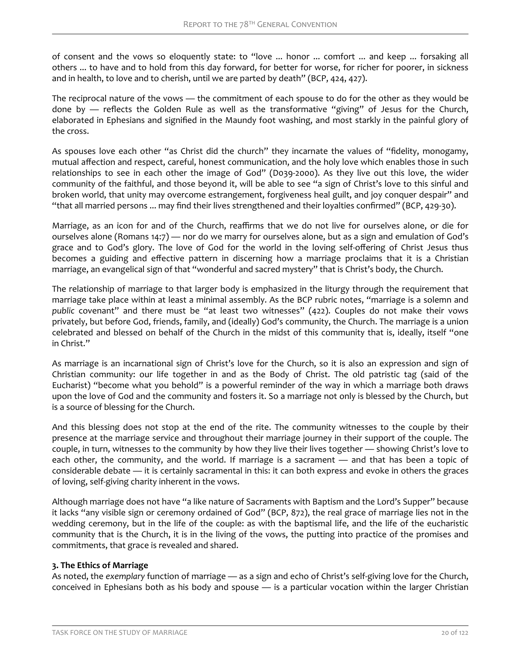of consent and the vows so eloquently state: to "love ... honor ... comfort ... and keep ... forsaking all others ... to have and to hold from this day forward, for better for worse, for richer for poorer, in sickness and in health, to love and to cherish, until we are parted by death" (BCP, 424, 427).

The reciprocal nature of the vows — the commitment of each spouse to do for the other as they would be done by  $-$  reflects the Golden Rule as well as the transformative "giving" of Jesus for the Church, elaborated in Ephesians and signified in the Maundy foot washing, and most starkly in the painful glory of the cross.

As spouses love each other "as Christ did the church" they incarnate the values of "fidelity, monogamy, mutual affection and respect, careful, honest communication, and the holy love which enables those in such relationships to see in each other the image of God" (D039-2000). As they live out this love, the wider community of the faithful, and those beyond it, will be able to see "a sign of Christ's love to this sinful and broken world, that unity may overcome estrangement, forgiveness heal guilt, and joy conquer despair" and "that all married persons ... may find their lives strengthened and their loyalties confirmed" (BCP, 429-30).

Marriage, as an icon for and of the Church, reaffirms that we do not live for ourselves alone, or die for ourselves alone (Romans 14:7) — nor do we marry for ourselves alone, but as a sign and emulation of God's grace and to God's glory. The love of God for the world in the loving self-offering of Christ Jesus thus becomes a guiding and effective pattern in discerning how a marriage proclaims that it is a Christian marriage, an evangelical sign of that "wonderful and sacred mystery" that is Christ's body, the Church.

The relationship of marriage to that larger body is emphasized in the liturgy through the requirement that marriage take place within at least a minimal assembly. As the BCP rubric notes, "marriage is a solemn and *public* covenant" and there must be "at least two witnesses" (422). Couples do not make their vows privately, but before God, friends, family, and (ideally) God's community, the Church. The marriage is a union celebrated and blessed on behalf of the Church in the midst of this community that is, ideally, itself "one in Christ."

As marriage is an incarnational sign of Christ's love for the Church, so it is also an expression and sign of Christian community: our life together in and as the Body of Christ. The old patristic tag (said of the Eucharist) "become what you behold" is a powerful reminder of the way in which a marriage both draws upon the love of God and the community and fosters it. So a marriage not only is blessed by the Church, but is a source of blessing for the Church.

And this blessing does not stop at the end of the rite. The community witnesses to the couple by their presence at the marriage service and throughout their marriage journey in their support of the couple. The couple, in turn, witnesses to the community by how they live their lives together — showing Christ's love to each other, the community, and the world. If marriage is a sacrament — and that has been a topic of considerable debate — it is certainly sacramental in this: it can both express and evoke in others the graces of loving, self-giving charity inherent in the vows.

Although marriage does not have "a like nature of Sacraments with Baptism and the Lord's Supper" because it lacks "any visible sign or ceremony ordained of God" (BCP, 872), the real grace of marriage lies not in the wedding ceremony, but in the life of the couple: as with the baptismal life, and the life of the eucharistic community that is the Church, it is in the living of the vows, the putting into practice of the promises and commitments, that grace is revealed and shared.

### **3. The Ethics of Marriage**

As noted, the *exemplary* function of marriage — as a sign and echo of Christ's self-giving love for the Church, conceived in Ephesians both as his body and spouse — is a particular vocation within the larger Christian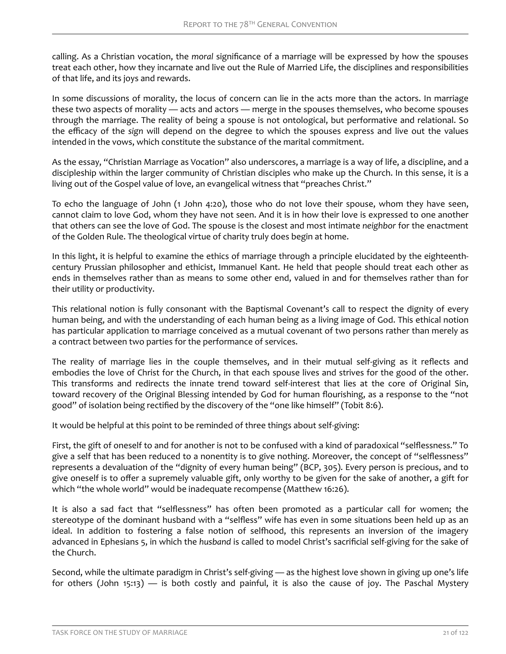calling. As a Christian vocation, the *moral* significance of a marriage will be expressed by how the spouses treat each other, how they incarnate and live out the Rule of Married Life, the disciplines and responsibilities of that life, and its joys and rewards.

In some discussions of morality, the locus of concern can lie in the acts more than the actors. In marriage these two aspects of morality — acts and actors — merge in the spouses themselves, who become spouses through the marriage. The reality of being a spouse is not ontological, but performative and relational. So the efficacy of the *sign* will depend on the degree to which the spouses express and live out the values intended in the vows, which constitute the substance of the marital commitment.

As the essay, "Christian Marriage as Vocation" also underscores, a marriage is a way of life, a discipline, and a discipleship within the larger community of Christian disciples who make up the Church. In this sense, it is a living out of the Gospel value of love, an evangelical witness that "preaches Christ."

To echo the language of John (1 John 4:20), those who do not love their spouse, whom they have seen, cannot claim to love God, whom they have not seen. And it is in how their love is expressed to one another that others can see the love of God. The spouse is the closest and most intimate *neighbor* for the enactment of the Golden Rule. The theological virtue of charity truly does begin at home.

In this light, it is helpful to examine the ethics of marriage through a principle elucidated by the eighteenthcentury Prussian philosopher and ethicist, Immanuel Kant. He held that people should treat each other as ends in themselves rather than as means to some other end, valued in and for themselves rather than for their utility or productivity.

This relational notion is fully consonant with the Baptismal Covenant's call to respect the dignity of every human being, and with the understanding of each human being as a living image of God. This ethical notion has particular application to marriage conceived as a mutual covenant of two persons rather than merely as a contract between two parties for the performance of services.

The reality of marriage lies in the couple themselves, and in their mutual self-giving as it reflects and embodies the love of Christ for the Church, in that each spouse lives and strives for the good of the other. This transforms and redirects the innate trend toward self-interest that lies at the core of Original Sin, toward recovery of the Original Blessing intended by God for human flourishing, as a response to the "not good" of isolation being rectified by the discovery of the "one like himself" (Tobit 8:6).

It would be helpful at this point to be reminded of three things about self-giving:

First, the gift of oneself to and for another is not to be confused with a kind of paradoxical "selflessness." To give a self that has been reduced to a nonentity is to give nothing. Moreover, the concept of "selflessness" represents a devaluation of the "dignity of every human being" (BCP, 305). Every person is precious, and to give oneself is to offer a supremely valuable gift, only worthy to be given for the sake of another, a gift for which "the whole world" would be inadequate recompense (Matthew 16:26).

It is also a sad fact that "selflessness" has often been promoted as a particular call for women; the stereotype of the dominant husband with a "selfless" wife has even in some situations been held up as an ideal. In addition to fostering a false notion of selfhood, this represents an inversion of the imagery advanced in Ephesians 5, in which the *husband* is called to model Christ's sacrificial self-giving for the sake of the Church.

Second, while the ultimate paradigm in Christ's self-giving — as the highest love shown in giving up one's life for others (John 15:13) — is both costly and painful, it is also the cause of joy. The Paschal Mystery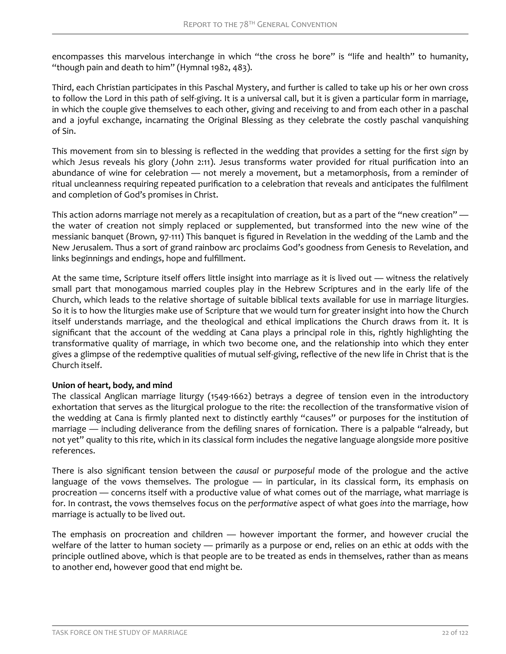encompasses this marvelous interchange in which "the cross he bore" is "life and health" to humanity, "though pain and death to him" (Hymnal 1982, 483).

Third, each Christian participates in this Paschal Mystery, and further is called to take up his or her own cross to follow the Lord in this path of self-giving. It is a universal call, but it is given a particular form in marriage, in which the couple give themselves to each other, giving and receiving to and from each other in a paschal and a joyful exchange, incarnating the Original Blessing as they celebrate the costly paschal vanquishing of Sin.

This movement from sin to blessing is reflected in the wedding that provides a setting for the first *sign* by which Jesus reveals his glory (John 2:11). Jesus transforms water provided for ritual purification into an abundance of wine for celebration — not merely a movement, but a metamorphosis, from a reminder of ritual uncleanness requiring repeated purification to a celebration that reveals and anticipates the fulfilment and completion of God's promises in Christ.

This action adorns marriage not merely as a recapitulation of creation, but as a part of the "new creation" the water of creation not simply replaced or supplemented, but transformed into the new wine of the messianic banquet (Brown, 97-111) This banquet is figured in Revelation in the wedding of the Lamb and the New Jerusalem. Thus a sort of grand rainbow arc proclaims God's goodness from Genesis to Revelation, and links beginnings and endings, hope and fulfillment.

At the same time, Scripture itself offers little insight into marriage as it is lived out — witness the relatively small part that monogamous married couples play in the Hebrew Scriptures and in the early life of the Church, which leads to the relative shortage of suitable biblical texts available for use in marriage liturgies. So it is to how the liturgies make use of Scripture that we would turn for greater insight into how the Church itself understands marriage, and the theological and ethical implications the Church draws from it. It is significant that the account of the wedding at Cana plays a principal role in this, rightly highlighting the transformative quality of marriage, in which two become one, and the relationship into which they enter gives a glimpse of the redemptive qualities of mutual self-giving, reflective of the new life in Christ that is the Church itself.

### **Union of heart, body, and mind**

The classical Anglican marriage liturgy (1549-1662) betrays a degree of tension even in the introductory exhortation that serves as the liturgical prologue to the rite: the recollection of the transformative vision of the wedding at Cana is firmly planted next to distinctly earthly "causes" or purposes for the institution of marriage — including deliverance from the defiling snares of fornication. There is a palpable "already, but not yet" quality to this rite, which in its classical form includes the negative language alongside more positive references.

There is also significant tension between the *causal* or *purposeful* mode of the prologue and the active language of the vows themselves. The prologue — in particular, in its classical form, its emphasis on procreation — concerns itself with a productive value of what comes out of the marriage, what marriage is for. In contrast, the vows themselves focus on the *performative* aspect of what goes *into* the marriage, how marriage is actually to be lived out.

The emphasis on procreation and children — however important the former, and however crucial the welfare of the latter to human society — primarily as a purpose or end, relies on an ethic at odds with the principle outlined above, which is that people are to be treated as ends in themselves, rather than as means to another end, however good that end might be.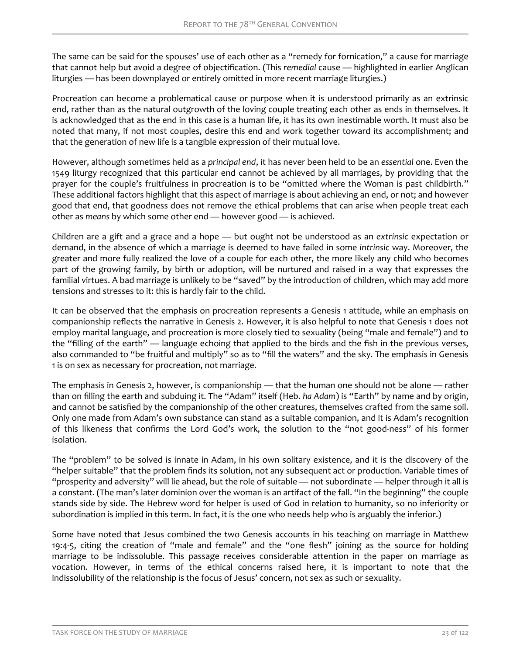The same can be said for the spouses' use of each other as a "remedy for fornication," a cause for marriage that cannot help but avoid a degree of objectification. (This remedial cause — highlighted in earlier Anglican liturgies — has been downplayed or entirely omitted in more recent marriage liturgies.)

Procreation can become a problematical cause or purpose when it is understood primarily as an extrinsic end, rather than as the natural outgrowth of the loving couple treating each other as ends in themselves. It is acknowledged that as the end in this case is a human life, it has its own inestimable worth. It must also be noted that many, if not most couples, desire this end and work together toward its accomplishment; and that the generation of new life is a tangible expression of their mutual love.

However, although sometimes held as a *principal end*, it has never been held to be an *essential* one. Even the 1549 liturgy recognized that this particular end cannot be achieved by all marriages, by providing that the prayer for the couple's fruitfulness in procreation is to be "omitted where the Woman is past childbirth." These additional factors highlight that this aspect of marriage is about achieving an end, or not; and however good that end, that goodness does not remove the ethical problems that can arise when people treat each other as *means* by which some other end — however good — is achieved.

Children are a gift and a grace and a hope — but ought not be understood as an *extrinsic* expectation or demand, in the absence of which a marriage is deemed to have failed in some *intrinsic* way. Moreover, the greater and more fully realized the love of a couple for each other, the more likely any child who becomes part of the growing family, by birth or adoption, will be nurtured and raised in a way that expresses the familial virtues. A bad marriage is unlikely to be "saved" by the introduction of children, which may add more tensions and stresses to it: this is hardly fair to the child.

It can be observed that the emphasis on procreation represents a Genesis 1 attitude, while an emphasis on companionship reflects the narrative in Genesis 2. However, it is also helpful to note that Genesis 1 does not employ marital language, and procreation is more closely tied to sexuality (being "male and female") and to the "filling of the earth" — language echoing that applied to the birds and the fish in the previous verses, also commanded to "be fruitful and multiply" so as to "fill the waters" and the sky. The emphasis in Genesis 1 is on sex as necessary for procreation, not marriage.

The emphasis in Genesis 2, however, is companionship — that the human one should not be alone — rather than on filling the earth and subduing it. The "Adam" itself (Heb. *ha Adam*) is "Earth" by name and by origin, and cannot be satisfied by the companionship of the other creatures, themselves crafted from the same soil. Only one made from Adam's own substance can stand as a suitable companion, and it is Adam's recognition of this likeness that confirms the Lord God's work, the solution to the "not good-ness" of his former isolation.

The "problem" to be solved is innate in Adam, in his own solitary existence, and it is the discovery of the "helper suitable" that the problem finds its solution, not any subsequent act or production. Variable times of "prosperity and adversity" will lie ahead, but the role of suitable — not subordinate — helper through it all is a constant. (The man's later dominion over the woman is an artifact of the fall. "In the beginning" the couple stands side by side. The Hebrew word for helper is used of God in relation to humanity, so no inferiority or subordination is implied in this term. In fact, it is the one who needs help who is arguably the inferior.)

Some have noted that Jesus combined the two Genesis accounts in his teaching on marriage in Matthew 19:4-5, citing the creation of "male and female" and the "one flesh" joining as the source for holding marriage to be indissoluble. This passage receives considerable attention in the paper on marriage as vocation. However, in terms of the ethical concerns raised here, it is important to note that the indissolubility of the relationship is the focus of Jesus' concern, not sex as such or sexuality.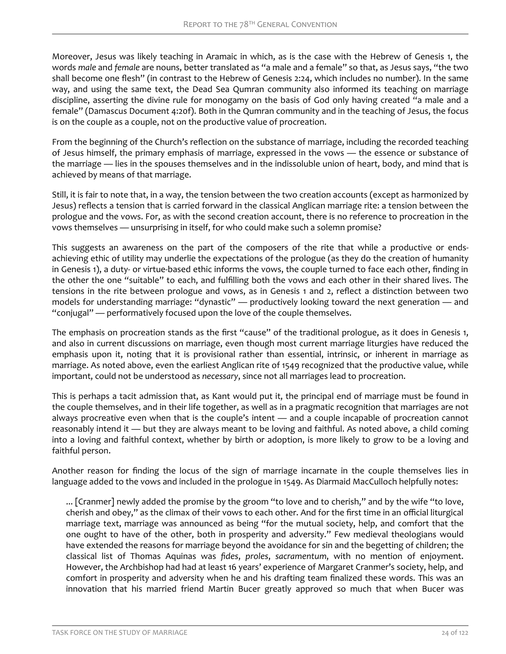Moreover, Jesus was likely teaching in Aramaic in which, as is the case with the Hebrew of Genesis 1, the words *male* and *female* are nouns, better translated as "a male and a female" so that, as Jesus says, "the two shall become one flesh" (in contrast to the Hebrew of Genesis 2:24, which includes no number). In the same way, and using the same text, the Dead Sea Qumran community also informed its teaching on marriage discipline, asserting the divine rule for monogamy on the basis of God only having created "a male and a female" (Damascus Document 4:20f). Both in the Qumran community and in the teaching of Jesus, the focus is on the couple as a couple, not on the productive value of procreation.

From the beginning of the Church's reflection on the substance of marriage, including the recorded teaching of Jesus himself, the primary emphasis of marriage, expressed in the vows — the essence or substance of the marriage — lies in the spouses themselves and in the indissoluble union of heart, body, and mind that is achieved by means of that marriage.

Still, it is fair to note that, in a way, the tension between the two creation accounts (except as harmonized by Jesus) reflects a tension that is carried forward in the classical Anglican marriage rite: a tension between the prologue and the vows. For, as with the second creation account, there is no reference to procreation in the vows themselves — unsurprising in itself, for who could make such a solemn promise?

This suggests an awareness on the part of the composers of the rite that while a productive or endsachieving ethic of utility may underlie the expectations of the prologue (as they do the creation of humanity in Genesis 1), a duty- or virtue-based ethic informs the vows, the couple turned to face each other, finding in the other the one "suitable" to each, and fulfilling both the vows and each other in their shared lives. The tensions in the rite between prologue and vows, as in Genesis 1 and 2, reflect a distinction between two models for understanding marriage: "dynastic" — productively looking toward the next generation — and "conjugal" — performatively focused upon the love of the couple themselves.

The emphasis on procreation stands as the first "cause" of the traditional prologue, as it does in Genesis 1, and also in current discussions on marriage, even though most current marriage liturgies have reduced the emphasis upon it, noting that it is provisional rather than essential, intrinsic, or inherent in marriage as marriage. As noted above, even the earliest Anglican rite of 1549 recognized that the productive value, while important, could not be understood as *necessary*, since not all marriages lead to procreation.

This is perhaps a tacit admission that, as Kant would put it, the principal end of marriage must be found in the couple themselves, and in their life together, as well as in a pragmatic recognition that marriages are not always procreative even when that is the couple's intent — and a couple incapable of procreation cannot reasonably intend it — but they are always meant to be loving and faithful. As noted above, a child coming into a loving and faithful context, whether by birth or adoption, is more likely to grow to be a loving and faithful person.

Another reason for finding the locus of the sign of marriage incarnate in the couple themselves lies in language added to the vows and included in the prologue in 1549. As Diarmaid MacCulloch helpfully notes:

... [Cranmer] newly added the promise by the groom "to love and to cherish," and by the wife "to love, cherish and obey," as the climax of their vows to each other. And for the first time in an official liturgical marriage text, marriage was announced as being "for the mutual society, help, and comfort that the one ought to have of the other, both in prosperity and adversity." Few medieval theologians would have extended the reasons for marriage beyond the avoidance for sin and the begetting of children; the classical list of Thomas Aquinas was *fides*, *proles*, *sacramentum*, with no mention of enjoyment. However, the Archbishop had had at least 16 years' experience of Margaret Cranmer's society, help, and comfort in prosperity and adversity when he and his drafting team finalized these words. This was an innovation that his married friend Martin Bucer greatly approved so much that when Bucer was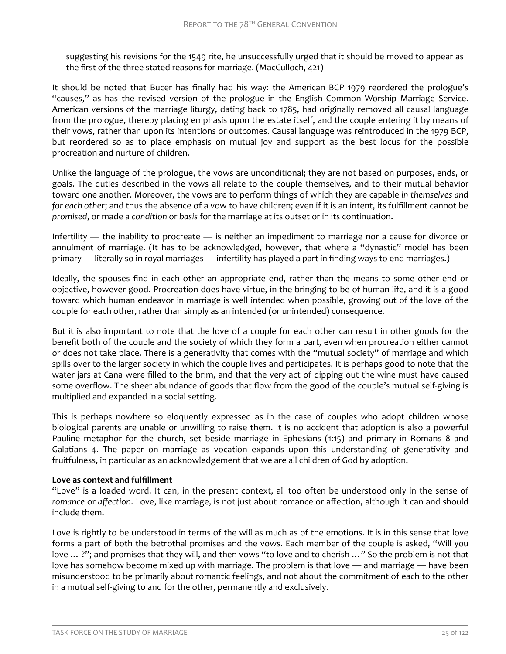suggesting his revisions for the 1549 rite, he unsuccessfully urged that it should be moved to appear as the first of the three stated reasons for marriage. (MacCulloch, 421)

It should be noted that Bucer has finally had his way: the American BCP 1979 reordered the prologue's "causes," as has the revised version of the prologue in the English Common Worship Marriage Service. American versions of the marriage liturgy, dating back to 1785, had originally removed all causal language from the prologue, thereby placing emphasis upon the estate itself, and the couple entering it by means of their vows, rather than upon its intentions or outcomes. Causal language was reintroduced in the 1979 BCP, but reordered so as to place emphasis on mutual joy and support as the best locus for the possible procreation and nurture of children.

Unlike the language of the prologue, the vows are unconditional; they are not based on purposes, ends, or goals. The duties described in the vows all relate to the couple themselves, and to their mutual behavior toward one another. Moreover, the vows are to perform things of which they are capable *in themselves and for each other*; and thus the absence of a vow to have children; even if it is an intent, its fulfillment cannot be *promised*, or made a *condition* or *basis* for the marriage at its outset or in its continuation.

Infertility — the inability to procreate — is neither an impediment to marriage nor a cause for divorce or annulment of marriage. (It has to be acknowledged, however, that where a "dynastic" model has been primary — literally so in royal marriages — infertility has played a part in finding ways to end marriages.)

Ideally, the spouses find in each other an appropriate end, rather than the means to some other end or objective, however good. Procreation does have virtue, in the bringing to be of human life, and it is a good toward which human endeavor in marriage is well intended when possible, growing out of the love of the couple for each other, rather than simply as an intended (or unintended) consequence.

But it is also important to note that the love of a couple for each other can result in other goods for the benefit both of the couple and the society of which they form a part, even when procreation either cannot or does not take place. There is a generativity that comes with the "mutual society" of marriage and which spills over to the larger society in which the couple lives and participates. It is perhaps good to note that the water jars at Cana were filled to the brim, and that the very act of dipping out the wine must have caused some overflow. The sheer abundance of goods that flow from the good of the couple's mutual self-giving is multiplied and expanded in a social setting.

This is perhaps nowhere so eloquently expressed as in the case of couples who adopt children whose biological parents are unable or unwilling to raise them. It is no accident that adoption is also a powerful Pauline metaphor for the church, set beside marriage in Ephesians (1:15) and primary in Romans 8 and Galatians 4. The paper on marriage as vocation expands upon this understanding of generativity and fruitfulness, in particular as an acknowledgement that we are all children of God by adoption.

### **Love as context and fulfillment**

"Love" is a loaded word. It can, in the present context, all too often be understood only in the sense of romance or affection. Love, like marriage, is not just about romance or affection, although it can and should include them.

Love is rightly to be understood in terms of the will as much as of the emotions. It is in this sense that love forms a part of both the betrothal promises and the vows. Each member of the couple is asked, "Will you love ... ?"; and promises that they will, and then vows "to love and to cherish ..." So the problem is not that love has somehow become mixed up with marriage. The problem is that love — and marriage — have been misunderstood to be primarily about romantic feelings, and not about the commitment of each to the other in a mutual self-giving to and for the other, permanently and exclusively.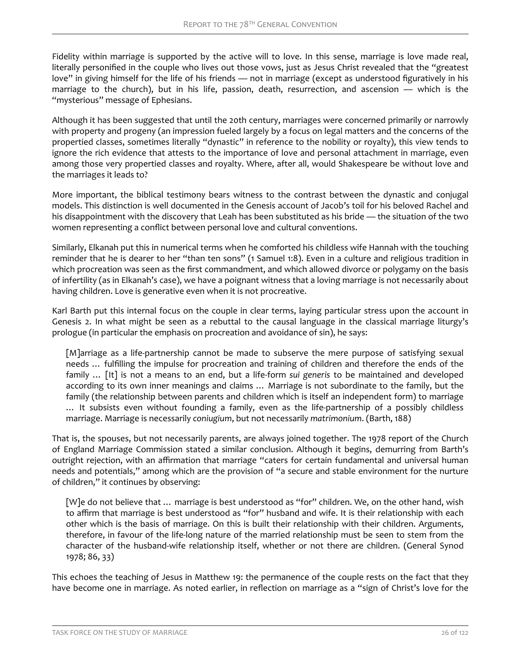Fidelity within marriage is supported by the active will to love. In this sense, marriage is love made real, literally personified in the couple who lives out those vows, just as Jesus Christ revealed that the "greatest love" in giving himself for the life of his friends — not in marriage (except as understood figuratively in his marriage to the church), but in his life, passion, death, resurrection, and ascension — which is the "mysterious" message of Ephesians.

Although it has been suggested that until the 20th century, marriages were concerned primarily or narrowly with property and progeny (an impression fueled largely by a focus on legal matters and the concerns of the propertied classes, sometimes literally "dynastic" in reference to the nobility or royalty), this view tends to ignore the rich evidence that attests to the importance of love and personal attachment in marriage, even among those very propertied classes and royalty. Where, after all, would Shakespeare be without love and the marriages it leads to?

More important, the biblical testimony bears witness to the contrast between the dynastic and conjugal models. This distinction is well documented in the Genesis account of Jacob's toil for his beloved Rachel and his disappointment with the discovery that Leah has been substituted as his bride — the situation of the two women representing a conflict between personal love and cultural conventions.

Similarly, Elkanah put this in numerical terms when he comforted his childless wife Hannah with the touching reminder that he is dearer to her "than ten sons" (1 Samuel 1:8). Even in a culture and religious tradition in which procreation was seen as the first commandment, and which allowed divorce or polygamy on the basis of infertility (as in Elkanah's case), we have a poignant witness that a loving marriage is not necessarily about having children. Love is generative even when it is not procreative.

Karl Barth put this internal focus on the couple in clear terms, laying particular stress upon the account in Genesis 2. In what might be seen as a rebuttal to the causal language in the classical marriage liturgy's prologue (in particular the emphasis on procreation and avoidance of sin), he says:

[M]arriage as a life-partnership cannot be made to subserve the mere purpose of satisfying sexual needs … fulfilling the impulse for procreation and training of children and therefore the ends of the family … [It] is not a means to an end, but a life-form *sui generis* to be maintained and developed according to its own inner meanings and claims … Marriage is not subordinate to the family, but the family (the relationship between parents and children which is itself an independent form) to marriage … It subsists even without founding a family, even as the life-partnership of a possibly childless marriage. Marriage is necessarily *coniugium*, but not necessarily *matrimonium*. (Barth, 188)

That is, the spouses, but not necessarily parents, are always joined together. The 1978 report of the Church of England Marriage Commission stated a similar conclusion. Although it begins, demurring from Barth's outright rejection, with an affirmation that marriage "caters for certain fundamental and universal human needs and potentials," among which are the provision of "a secure and stable environment for the nurture of children," it continues by observing:

[W]e do not believe that … marriage is best understood as "for" children. We, on the other hand, wish to affirm that marriage is best understood as "for" husband and wife. It is their relationship with each other which is the basis of marriage. On this is built their relationship with their children. Arguments, therefore, in favour of the life-long nature of the married relationship must be seen to stem from the character of the husband-wife relationship itself, whether or not there are children. (General Synod 1978; 86, 33)

This echoes the teaching of Jesus in Matthew 19: the permanence of the couple rests on the fact that they have become one in marriage. As noted earlier, in reflection on marriage as a "sign of Christ's love for the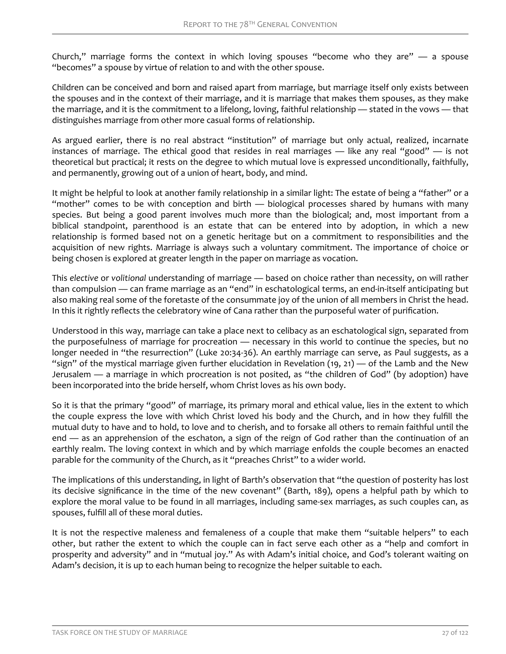Church," marriage forms the context in which loving spouses "become who they are" — a spouse "becomes" a spouse by virtue of relation to and with the other spouse.

Children can be conceived and born and raised apart from marriage, but marriage itself only exists between the spouses and in the context of their marriage, and it is marriage that makes them spouses, as they make the marriage, and it is the commitment to a lifelong, loving, faithful relationship — stated in the vows — that distinguishes marriage from other more casual forms of relationship.

As argued earlier, there is no real abstract "institution" of marriage but only actual, realized, incarnate instances of marriage. The ethical good that resides in real marriages — like any real "good" — is not theoretical but practical; it rests on the degree to which mutual love is expressed unconditionally, faithfully, and permanently, growing out of a union of heart, body, and mind.

It might be helpful to look at another family relationship in a similar light: The estate of being a "father" or a "mother" comes to be with conception and birth — biological processes shared by humans with many species. But being a good parent involves much more than the biological; and, most important from a biblical standpoint, parenthood is an estate that can be entered into by adoption, in which a new relationship is formed based not on a genetic heritage but on a commitment to responsibilities and the acquisition of new rights. Marriage is always such a voluntary commitment. The importance of choice or being chosen is explored at greater length in the paper on marriage as vocation.

This *elective* or *volitional* understanding of marriage — based on choice rather than necessity, on will rather than compulsion — can frame marriage as an "end" in eschatological terms, an end-in-itself anticipating but also making real some of the foretaste of the consummate joy of the union of all members in Christ the head. In this it rightly reflects the celebratory wine of Cana rather than the purposeful water of purification.

Understood in this way, marriage can take a place next to celibacy as an eschatological sign, separated from the purposefulness of marriage for procreation — necessary in this world to continue the species, but no longer needed in "the resurrection" (Luke 20:34-36). An earthly marriage can serve, as Paul suggests, as a "sign" of the mystical marriage given further elucidation in Revelation  $(19, 21)$  — of the Lamb and the New Jerusalem — a marriage in which procreation is not posited, as "the children of God" (by adoption) have been incorporated into the bride herself, whom Christ loves as his own body.

So it is that the primary "good" of marriage, its primary moral and ethical value, lies in the extent to which the couple express the love with which Christ loved his body and the Church, and in how they fulfill the mutual duty to have and to hold, to love and to cherish, and to forsake all others to remain faithful until the end — as an apprehension of the eschaton, a sign of the reign of God rather than the continuation of an earthly realm. The loving context in which and by which marriage enfolds the couple becomes an enacted parable for the community of the Church, as it "preaches Christ" to a wider world.

The implications of this understanding, in light of Barth's observation that "the question of posterity has lost its decisive significance in the time of the new covenant" (Barth, 189), opens a helpful path by which to explore the moral value to be found in all marriages, including same-sex marriages, as such couples can, as spouses, fulfill all of these moral duties.

It is not the respective maleness and femaleness of a couple that make them "suitable helpers" to each other, but rather the extent to which the couple can in fact serve each other as a "help and comfort in prosperity and adversity" and in "mutual joy." As with Adam's initial choice, and God's tolerant waiting on Adam's decision, it is up to each human being to recognize the helper suitable to each.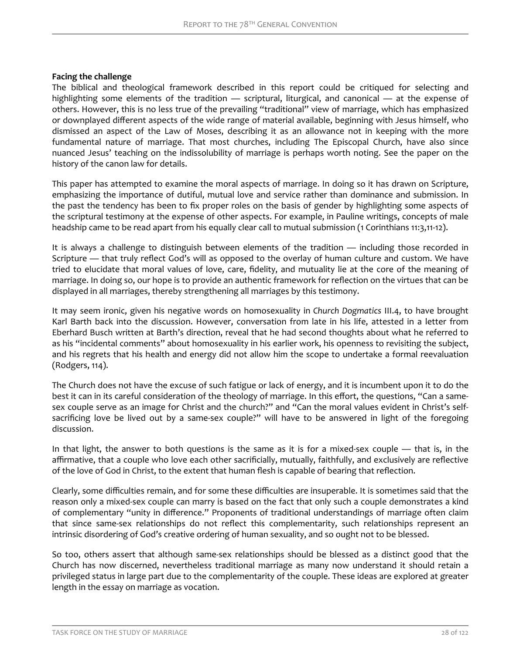#### **Facing the challenge**

The biblical and theological framework described in this report could be critiqued for selecting and highlighting some elements of the tradition — scriptural, liturgical, and canonical — at the expense of others. However, this is no less true of the prevailing "traditional" view of marriage, which has emphasized or downplayed different aspects of the wide range of material available, beginning with Jesus himself, who dismissed an aspect of the Law of Moses, describing it as an allowance not in keeping with the more fundamental nature of marriage. That most churches, including The Episcopal Church, have also since nuanced Jesus' teaching on the indissolubility of marriage is perhaps worth noting. See the paper on the history of the canon law for details.

This paper has attempted to examine the moral aspects of marriage. In doing so it has drawn on Scripture, emphasizing the importance of dutiful, mutual love and service rather than dominance and submission. In the past the tendency has been to fix proper roles on the basis of gender by highlighting some aspects of the scriptural testimony at the expense of other aspects. For example, in Pauline writings, concepts of male headship came to be read apart from his equally clear call to mutual submission (1 Corinthians 11:3,11-12).

It is always a challenge to distinguish between elements of the tradition — including those recorded in Scripture — that truly reflect God's will as opposed to the overlay of human culture and custom. We have tried to elucidate that moral values of love, care, fidelity, and mutuality lie at the core of the meaning of marriage. In doing so, our hope is to provide an authentic framework for reflection on the virtues that can be displayed in all marriages, thereby strengthening all marriages by this testimony.

It may seem ironic, given his negative words on homosexuality in *Church Dogmatics* III.4, to have brought Karl Barth back into the discussion. However, conversation from late in his life, attested in a letter from Eberhard Busch written at Barth's direction, reveal that he had second thoughts about what he referred to as his "incidental comments" about homosexuality in his earlier work, his openness to revisiting the subject, and his regrets that his health and energy did not allow him the scope to undertake a formal reevaluation (Rodgers, 114).

The Church does not have the excuse of such fatigue or lack of energy, and it is incumbent upon it to do the best it can in its careful consideration of the theology of marriage. In this effort, the questions, "Can a samesex couple serve as an image for Christ and the church?" and "Can the moral values evident in Christ's selfsacrificing love be lived out by a same-sex couple?" will have to be answered in light of the foregoing discussion.

In that light, the answer to both questions is the same as it is for a mixed-sex couple — that is, in the affirmative, that a couple who love each other sacrificially, mutually, faithfully, and exclusively are reflective of the love of God in Christ, to the extent that human flesh is capable of bearing that reflection.

Clearly, some difficulties remain, and for some these difficulties are insuperable. It is sometimes said that the reason only a mixed-sex couple can marry is based on the fact that only such a couple demonstrates a kind of complementary "unity in difference." Proponents of traditional understandings of marriage often claim that since same-sex relationships do not reflect this complementarity, such relationships represent an intrinsic disordering of God's creative ordering of human sexuality, and so ought not to be blessed.

So too, others assert that although same-sex relationships should be blessed as a distinct good that the Church has now discerned, nevertheless traditional marriage as many now understand it should retain a privileged status in large part due to the complementarity of the couple. These ideas are explored at greater length in the essay on marriage as vocation.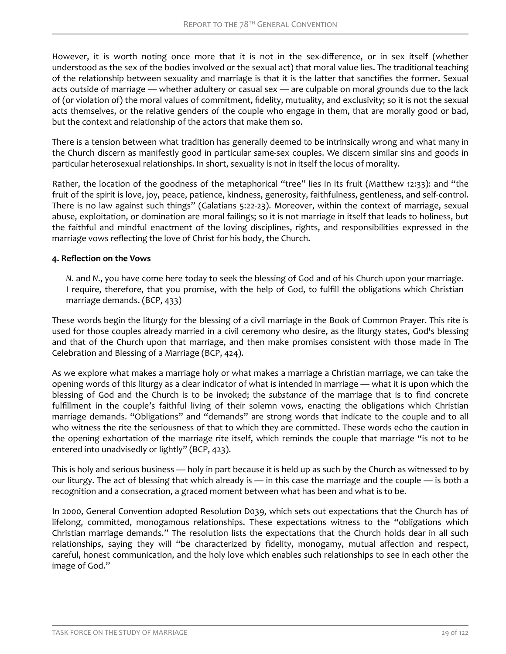However, it is worth noting once more that it is not in the sex-difference, or in sex itself (whether understood as the sex of the bodies involved or the sexual act) that moral value lies. The traditional teaching of the relationship between sexuality and marriage is that it is the latter that sanctifies the former. Sexual acts outside of marriage — whether adultery or casual sex — are culpable on moral grounds due to the lack of (or violation of) the moral values of commitment, fidelity, mutuality, and exclusivity; so it is not the sexual acts themselves, or the relative genders of the couple who engage in them, that are morally good or bad, but the context and relationship of the actors that make them so.

There is a tension between what tradition has generally deemed to be intrinsically wrong and what many in the Church discern as manifestly good in particular same-sex couples. We discern similar sins and goods in particular heterosexual relationships. In short, sexuality is not in itself the locus of morality.

Rather, the location of the goodness of the metaphorical "tree" lies in its fruit (Matthew 12:33): and "the fruit of the spirit is love, joy, peace, patience, kindness, generosity, faithfulness, gentleness, and self-control. There is no law against such things" (Galatians 5:22-23). Moreover, within the context of marriage, sexual abuse, exploitation, or domination are moral failings; so it is not marriage in itself that leads to holiness, but the faithful and mindful enactment of the loving disciplines, rights, and responsibilities expressed in the marriage vows reflecting the love of Christ for his body, the Church.

# **4. Reflection on the Vows**

*N*. and *N*., you have come here today to seek the blessing of God and of his Church upon your marriage. I require, therefore, that you promise, with the help of God, to fulfill the obligations which Christian marriage demands. (BCP, 433)

These words begin the liturgy for the blessing of a civil marriage in the Book of Common Prayer. This rite is used for those couples already married in a civil ceremony who desire, as the liturgy states, God's blessing and that of the Church upon that marriage, and then make promises consistent with those made in The Celebration and Blessing of a Marriage (BCP, 424).

As we explore what makes a marriage holy or what makes a marriage a Christian marriage, we can take the opening words of this liturgy as a clear indicator of what is intended in marriage — what it is upon which the blessing of God and the Church is to be invoked; the *substance* of the marriage that is to find concrete fulfillment in the couple's faithful living of their solemn vows, enacting the obligations which Christian marriage demands. "Obligations" and "demands" are strong words that indicate to the couple and to all who witness the rite the seriousness of that to which they are committed. These words echo the caution in the opening exhortation of the marriage rite itself, which reminds the couple that marriage "is not to be entered into unadvisedly or lightly" (BCP, 423).

This is holy and serious business — holy in part because it is held up as such by the Church as witnessed to by our liturgy. The act of blessing that which already is — in this case the marriage and the couple — is both a recognition and a consecration, a graced moment between what has been and what is to be.

In 2000, General Convention adopted Resolution D039, which sets out expectations that the Church has of lifelong, committed, monogamous relationships. These expectations witness to the "obligations which Christian marriage demands." The resolution lists the expectations that the Church holds dear in all such relationships, saying they will "be characterized by fidelity, monogamy, mutual affection and respect, careful, honest communication, and the holy love which enables such relationships to see in each other the image of God."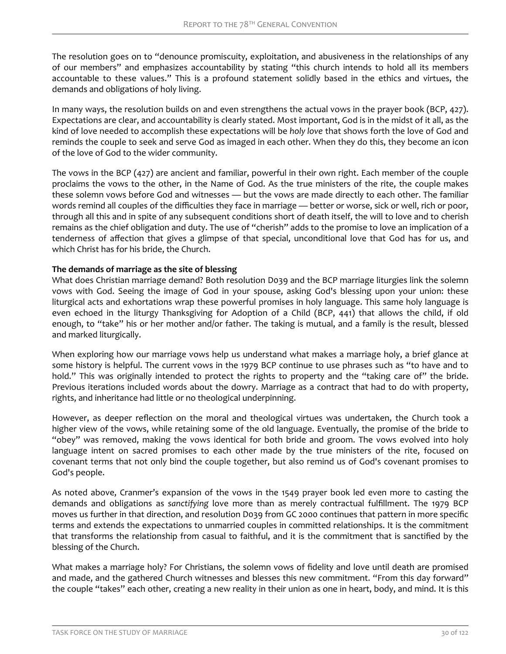The resolution goes on to "denounce promiscuity, exploitation, and abusiveness in the relationships of any of our members" and emphasizes accountability by stating "this church intends to hold all its members accountable to these values." This is a profound statement solidly based in the ethics and virtues, the demands and obligations of holy living.

In many ways, the resolution builds on and even strengthens the actual vows in the prayer book (BCP, 427). Expectations are clear, and accountability is clearly stated. Most important, God is in the midst of it all, as the kind of love needed to accomplish these expectations will be *holy love* that shows forth the love of God and reminds the couple to seek and serve God as imaged in each other. When they do this, they become an icon of the love of God to the wider community.

The vows in the BCP (427) are ancient and familiar, powerful in their own right. Each member of the couple proclaims the vows to the other, in the Name of God. As the true ministers of the rite, the couple makes these solemn vows before God and witnesses — but the vows are made directly to each other. The familiar words remind all couples of the difficulties they face in marriage — better or worse, sick or well, rich or poor, through all this and in spite of any subsequent conditions short of death itself, the will to love and to cherish remains as the chief obligation and duty. The use of "cherish" adds to the promise to love an implication of a tenderness of affection that gives a glimpse of that special, unconditional love that God has for us, and which Christ has for his bride, the Church.

### **The demands of marriage as the site of blessing**

What does Christian marriage demand? Both resolution D039 and the BCP marriage liturgies link the solemn vows with God. Seeing the image of God in your spouse, asking God's blessing upon your union: these liturgical acts and exhortations wrap these powerful promises in holy language. This same holy language is even echoed in the liturgy Thanksgiving for Adoption of a Child (BCP, 441) that allows the child, if old enough, to "take" his or her mother and/or father. The taking is mutual, and a family is the result, blessed and marked liturgically.

When exploring how our marriage vows help us understand what makes a marriage holy, a brief glance at some history is helpful. The current vows in the 1979 BCP continue to use phrases such as "to have and to hold." This was originally intended to protect the rights to property and the "taking care of" the bride. Previous iterations included words about the dowry. Marriage as a contract that had to do with property, rights, and inheritance had little or no theological underpinning.

However, as deeper reflection on the moral and theological virtues was undertaken, the Church took a higher view of the vows, while retaining some of the old language. Eventually, the promise of the bride to "obey" was removed, making the vows identical for both bride and groom. The vows evolved into holy language intent on sacred promises to each other made by the true ministers of the rite, focused on covenant terms that not only bind the couple together, but also remind us of God's covenant promises to God's people.

As noted above, Cranmer's expansion of the vows in the 1549 prayer book led even more to casting the demands and obligations as sanctifying love more than as merely contractual fulfillment. The 1979 BCP moves us further in that direction, and resolution D039 from GC 2000 continues that pattern in more specific terms and extends the expectations to unmarried couples in committed relationships. It is the commitment that transforms the relationship from casual to faithful, and it is the commitment that is sanctified by the blessing of the Church.

What makes a marriage holy? For Christians, the solemn vows of fidelity and love until death are promised and made, and the gathered Church witnesses and blesses this new commitment. "From this day forward" the couple "takes" each other, creating a new reality in their union as one in heart, body, and mind. It is this